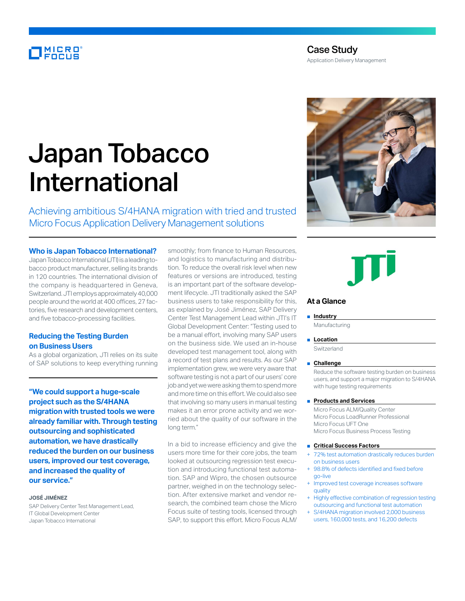# MICRO<br>FOCUS

# Case Study

Application Delivery Management

# Japan Tobacco International

Achieving ambitious S/4HANA migration with tried and trusted Micro Focus Application Delivery Management solutions

# **Who is Japan Tobacco International?**

Japan Tobacco International (JTI) is a leading tobacco product manufacturer, selling its brands in 120 countries. The international division of the company is headquartered in Geneva, Switzerland. JTI employs approximately 40,000 people around the world at 400 offices, 27 factories, five research and development centers, and five tobacco-processing facilities.

# **Reducing the Testing Burden on Business Users**

As a global organization, JTI relies on its suite of SAP solutions to keep everything running

**"We could support a huge-scale project such as the S/4HANA migration with trusted tools we were already familiar with. Through testing outsourcing and sophisticated automation, we have drastically reduced the burden on our business users, improved our test coverage, and increased the quality of our service."**

#### **JOSÉ JIMÉNEZ**

SAP Delivery Center Test Management Lead, IT Global Development Center Japan Tobacco International

smoothly; from finance to Human Resources, and logistics to manufacturing and distribution. To reduce the overall risk level when new features or versions are introduced, testing is an important part of the software development lifecycle. JTI traditionally asked the SAP business users to take responsibility for this, as explained by José Jiménez, SAP Delivery Center Test Management Lead within JTI's IT Global Development Center: "Testing used to be a manual effort, involving many SAP users on the business side. We used an in-house developed test management tool, along with a record of test plans and results. As our SAP implementation grew, we were very aware that software testing is not a part of our users' core job and yet we were asking them to spend more and more time on this effort. We could also see that involving so many users in manual testing makes it an error prone activity and we worried about the quality of our software in the long term."

In a bid to increase efficiency and give the users more time for their core jobs, the team looked at outsourcing regression test execution and introducing functional test automation. SAP and Wipro, the chosen outsource partner, weighed in on the technology selection. After extensive market and vendor research, the combined team chose the Micro Focus suite of testing tools, licensed through SAP, to support this effort. Micro Focus ALM/





### **At a Glance**

#### ■ **Industry**

Manufacturing

■ **Location** 

**Switzerland** 

#### ■ **Challenge**

Reduce the software testing burden on business users, and support a major migration to S/4HANA with huge testing requirements

## ■ **Products and Services**

Micro Focus ALM/Quality Center Micro Focus LoadRunner Professional Micro Focus UFT One Micro Focus Business Process Testing

#### ■ **Critical Success Factors**

- + 72% test automation drastically reduces burden on business users
- 98.8% of defects identified and fixed before go-live
- + Improved test coverage increases software quality
- Highly effective combination of regression testing outsourcing and functional test automation
- S/4HANA migration involved 2,000 business users, 160,000 tests, and 16,200 defects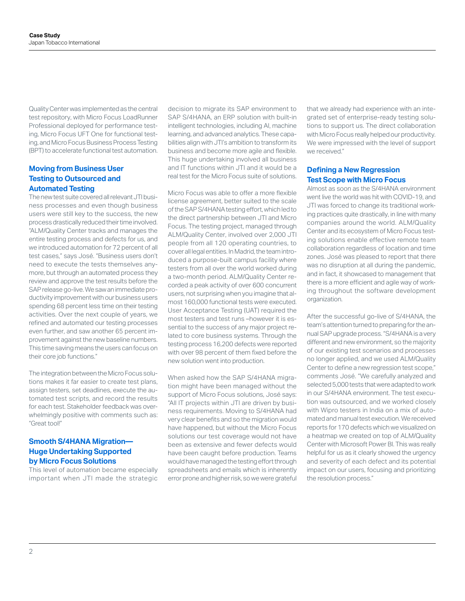Quality Center was implemented as the central test repository, with Micro Focus LoadRunner Professional deployed for performance testing, Micro Focus UFT One for functional testing, and Micro Focus Business Process Testing (BPT) to accelerate functional test automation.

# **Moving from Business User Testing to Outsourced and Automated Testing**

The new test suite covered all relevant JTI business processes and even though business users were still key to the success, the new process drastically reduced their time involved. "ALM/Quality Center tracks and manages the entire testing process and defects for us, and we introduced automation for 72 percent of all test cases," says José. "Business users don't need to execute the tests themselves anymore, but through an automated process they review and approve the test results before the SAP release go-live. We saw an immediate productivity improvement with our business users spending 68 percent less time on their testing activities. Over the next couple of years, we refined and automated our testing processes even further, and saw another 65 percent improvement against the new baseline numbers. This time saving means the users can focus on their core job functions."

The integration between the Micro Focus solutions makes it far easier to create test plans, assign testers, set deadlines, execute the automated test scripts, and record the results for each test. Stakeholder feedback was overwhelmingly positive with comments such as: "Great tool!"

# **Smooth S/4HANA Migration— Huge Undertaking Supported by Micro Focus Solutions**

This level of automation became especially important when JTI made the strategic

decision to migrate its SAP environment to SAP S/4HANA, an ERP solution with built-in intelligent technologies, including AI, machine learning, and advanced analytics. These capabilities align with JTI's ambition to transform its business and become more agile and flexible. This huge undertaking involved all business and IT functions within JTI and it would be a real test for the Micro Focus suite of solutions.

Micro Focus was able to offer a more flexible license agreement, better suited to the scale of the SAP S/4HANA testing effort, which led to the direct partnership between JTI and Micro Focus. The testing project, managed through ALM/Quality Center, involved over 2,000 JTI people from all 120 operating countries, to cover all legal entities. In Madrid, the team introduced a purpose-built campus facility where testers from all over the world worked during a two-month period. ALM/Quality Center recorded a peak activity of over 600 concurrent users, not surprising when you imagine that almost 160,000 functional tests were executed. User Acceptance Testing (UAT) required the most testers and test runs –however it is essential to the success of any major project related to core business systems. Through the testing process 16,200 defects were reported with over 98 percent of them fixed before the new solution went into production.

When asked how the SAP S/4HANA migration might have been managed without the support of Micro Focus solutions, José says: "All IT projects within JTI are driven by business requirements. Moving to S/4HANA had very clear benefits and so the migration would have happened, but without the Micro Focus solutions our test coverage would not have been as extensive and fewer defects would have been caught before production. Teams would have managed the testing effort through spreadsheets and emails which is inherently error prone and higher risk, so we were grateful

that we already had experience with an integrated set of enterprise-ready testing solutions to support us. The direct collaboration with Micro Focus really helped our productivity. We were impressed with the level of support we received."

## **Defining a New Regression Test Scope with Micro Focus**

Almost as soon as the S/4HANA environment went live the world was hit with COVID-19, and JTI was forced to change its traditional working practices quite drastically, in line with many companies around the world. ALM/Quality Center and its ecosystem of Micro Focus testing solutions enable effective remote team collaboration regardless of location and time zones. José was pleased to report that there was no disruption at all during the pandemic, and in fact, it showcased to management that there is a more efficient and agile way of working throughout the software development organization.

After the successful go-live of S/4HANA, the team's attention turned to preparing for the annual SAP upgrade process. "S/4HANA is a very different and new environment, so the majority of our existing test scenarios and processes no longer applied, and we used ALM/Quality Center to define a new regression test scope," comments José. "We carefully analyzed and selected 5,000 tests that were adapted to work in our S/4HANA environment. The test execution was outsourced, and we worked closely with Wipro testers in India on a mix of automated and manual test execution. We received reports for 170 defects which we visualized on a heatmap we created on top of ALM/Quality Center with Microsoft Power BI. This was really helpful for us as it clearly showed the urgency and severity of each defect and its potential impact on our users, focusing and prioritizing the resolution process."